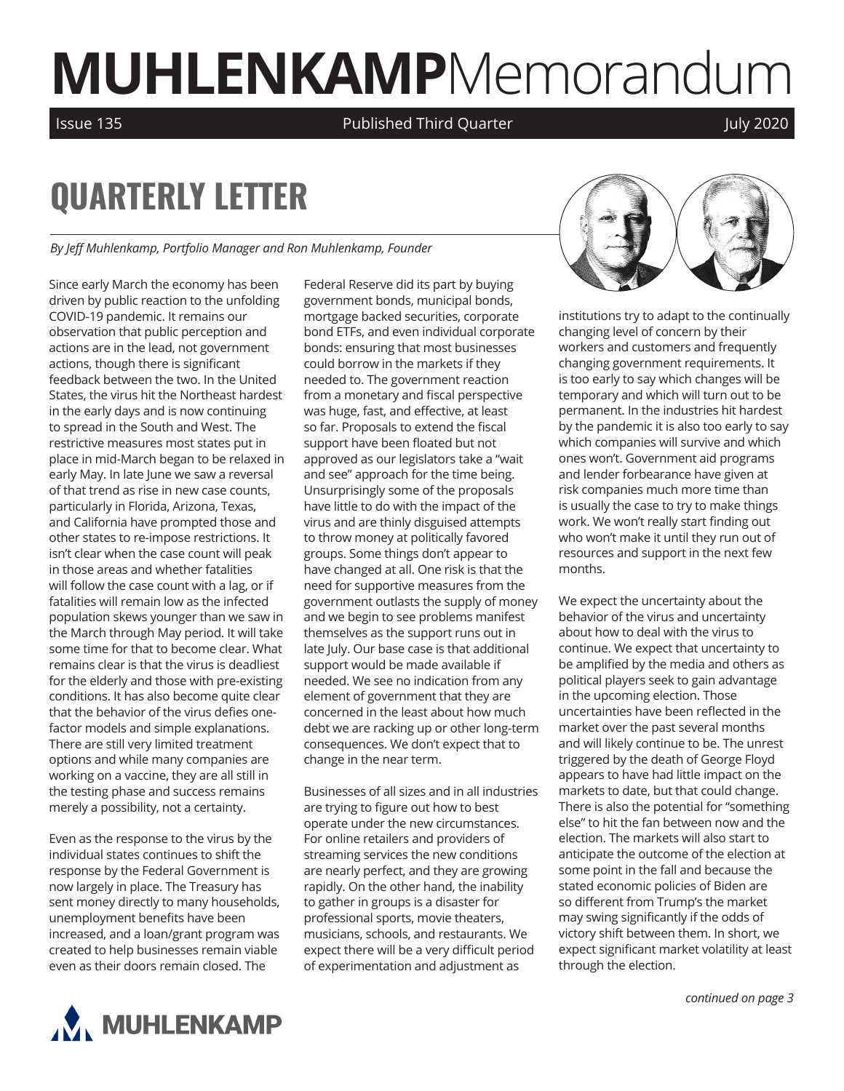# **MUHLENKAMP**Memorandum

Issue 135 **Published Third Quarter July 2020** July 2020

# **QUARTERLY LETTER**

*By Jeff Muhlenkamp, Portfolio Manager and Ron Muhlenkamp, Founder*

Since early March the economy has been driven by public reaction to the unfolding COVID-19 pandemic. It remains our observation that public perception and actions are in the lead, not government actions, though there is significant feedback between the two. In the United States, the virus hit the Northeast hardest in the early days and is now continuing to spread in the South and West. The restrictive measures most states put in place in mid-March began to be relaxed in early May. In late June we saw a reversal of that trend as rise in new case counts, particularly in Florida, Arizona, Texas, and California have prompted those and other states to re-impose restrictions. It isn't clear when the case count will peak in those areas and whether fatalities will follow the case count with a lag, or if fatalities will remain low as the infected population skews younger than we saw in the March through May period. It will take some time for that to become clear. What remains clear is that the virus is deadliest for the elderly and those with pre-existing conditions. It has also become quite clear that the behavior of the virus defies onefactor models and simple explanations. There are still very limited treatment options and while many companies are working on a vaccine, they are all still in the testing phase and success remains merely a possibility, not a certainty.

Even as the response to the virus by the individual states continues to shift the response by the Federal Government is now largely in place. The Treasury has sent money directly to many households, unemployment benefits have been increased, and a loan/grant program was created to help businesses remain viable even as their doors remain closed. The

Federal Reserve did its part by buying government bonds, municipal bonds, mortgage backed securities, corporate bond ETFs, and even individual corporate bonds: ensuring that most businesses could borrow in the markets if they needed to. The government reaction from a monetary and fiscal perspective was huge, fast, and effective, at least so far. Proposals to extend the fiscal support have been floated but not approved as our legislators take a "wait and see" approach for the time being. Unsurprisingly some of the proposals have little to do with the impact of the virus and are thinly disguised attempts to throw money at politically favored groups. Some things don't appear to have changed at all. One risk is that the need for supportive measures from the government outlasts the supply of money and we begin to see problems manifest themselves as the support runs out in late July. Our base case is that additional support would be made available if needed. We see no indication from any element of government that they are concerned in the least about how much debt we are racking up or other long-term consequences. We don't expect that to change in the near term.

Businesses of all sizes and in all industries are trying to figure out how to best operate under the new circumstances. For online retailers and providers of streaming services the new conditions are nearly perfect, and they are growing rapidly. On the other hand, the inability to gather in groups is a disaster for professional sports, movie theaters, musicians, schools, and restaurants. We expect there will be a very difficult period of experimentation and adjustment as



institutions try to adapt to the continually changing level of concern by their workers and customers and frequently changing government requirements. It is too early to say which changes will be temporary and which will turn out to be permanent. In the industries hit hardest by the pandemic it is also too early to say which companies will survive and which ones won't. Government aid programs and lender forbearance have given at risk companies much more time than is usually the case to try to make things work. We won't really start finding out who won't make it until they run out of resources and support in the next few months.

We expect the uncertainty about the behavior of the virus and uncertainty about how to deal with the virus to continue. We expect that uncertainty to be amplified by the media and others as political players seek to gain advantage in the upcoming election. Those uncertainties have been reflected in the market over the past several months and will likely continue to be. The unrest triggered by the death of George Floyd appears to have had little impact on the markets to date, but that could change. There is also the potential for "something else" to hit the fan between now and the election. The markets will also start to anticipate the outcome of the election at some point in the fall and because the stated economic policies of Biden are so different from Trump's the market may swing significantly if the odds of victory shift between them. In short, we expect significant market volatility at least through the election.



*continued on page 3*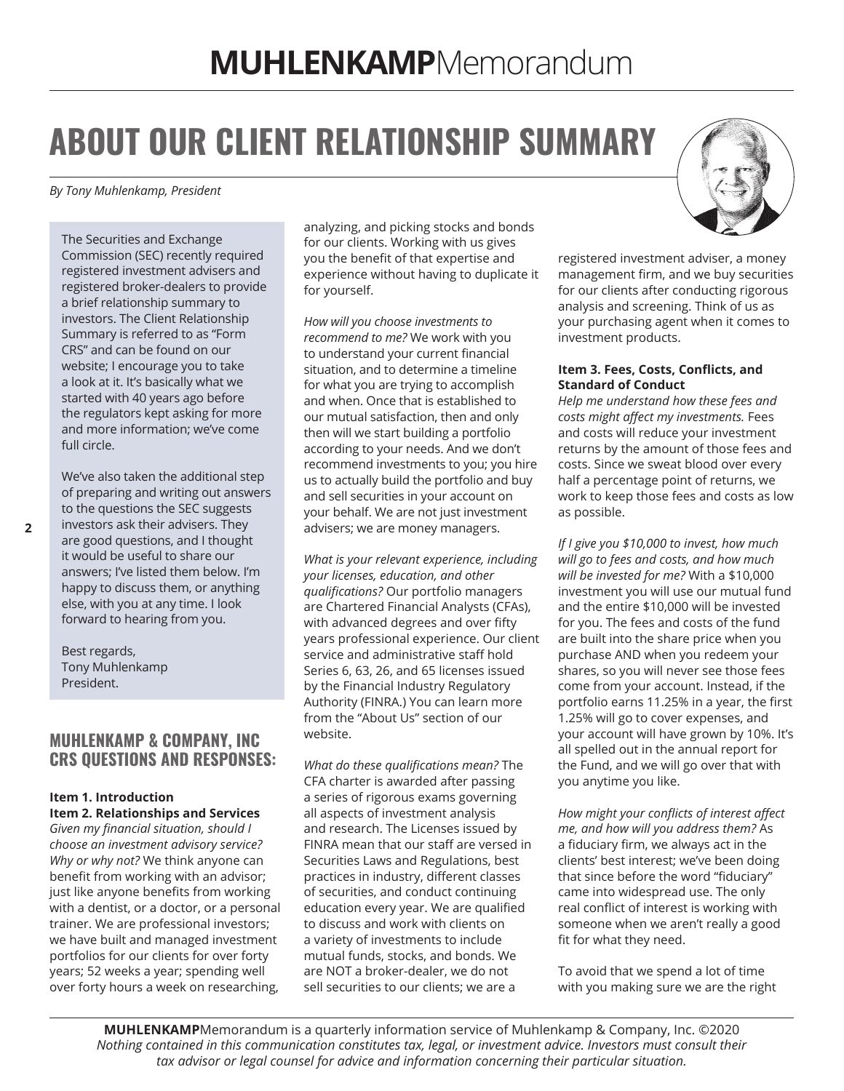# **ABOUT OUR CLIENT RELATIONSHIP SUMMARY**

*By Tony Muhlenkamp, President* 

The Securities and Exchange Commission (SEC) recently required registered investment advisers and registered broker-dealers to provide a brief relationship summary to investors. The Client Relationship Summary is referred to as "Form CRS" and can be found on our website; I encourage you to take a look at it. It's basically what we started with 40 years ago before the regulators kept asking for more and more information; we've come full circle.

We've also taken the additional step of preparing and writing out answers to the questions the SEC suggests investors ask their advisers. They are good questions, and I thought it would be useful to share our answers; I've listed them below. I'm happy to discuss them, or anything else, with you at any time. I look forward to hearing from you.

Best regards, Tony Muhlenkamp President.

### **MUHLENKAMP & COMPANY, INC CRS QUESTIONS AND RESPONSES:**

#### **Item 1. Introduction Item 2. Relationships and Services**

*Given my financial situation, should I choose an investment advisory service? Why or why not?* We think anyone can benefit from working with an advisor; just like anyone benefits from working with a dentist, or a doctor, or a personal trainer. We are professional investors; we have built and managed investment portfolios for our clients for over forty years; 52 weeks a year; spending well over forty hours a week on researching,

analyzing, and picking stocks and bonds for our clients. Working with us gives you the benefit of that expertise and experience without having to duplicate it for yourself.

*How will you choose investments to recommend to me?* We work with you to understand your current financial situation, and to determine a timeline for what you are trying to accomplish and when. Once that is established to our mutual satisfaction, then and only then will we start building a portfolio according to your needs. And we don't recommend investments to you; you hire us to actually build the portfolio and buy and sell securities in your account on your behalf. We are not just investment advisers; we are money managers.

*What is your relevant experience, including your licenses, education, and other qualifications?* Our portfolio managers are Chartered Financial Analysts (CFAs), with advanced degrees and over fifty years professional experience. Our client service and administrative staff hold Series 6, 63, 26, and 65 licenses issued by the Financial Industry Regulatory Authority (FINRA.) You can learn more from the "About Us" section of our website.

*What do these qualifications mean?* The CFA charter is awarded after passing a series of rigorous exams governing all aspects of investment analysis and research. The Licenses issued by FINRA mean that our staff are versed in Securities Laws and Regulations, best practices in industry, different classes of securities, and conduct continuing education every year. We are qualified to discuss and work with clients on a variety of investments to include mutual funds, stocks, and bonds. We are NOT a broker-dealer, we do not sell securities to our clients; we are a



registered investment adviser, a money management firm, and we buy securities for our clients after conducting rigorous analysis and screening. Think of us as your purchasing agent when it comes to investment products.

#### **Item 3. Fees, Costs, Conflicts, and Standard of Conduct**

*Help me understand how these fees and costs might affect my investments.* Fees and costs will reduce your investment returns by the amount of those fees and costs. Since we sweat blood over every half a percentage point of returns, we work to keep those fees and costs as low as possible.

*If I give you \$10,000 to invest, how much will go to fees and costs, and how much will be invested for me?* With a \$10,000 investment you will use our mutual fund and the entire \$10,000 will be invested for you. The fees and costs of the fund are built into the share price when you purchase AND when you redeem your shares, so you will never see those fees come from your account. Instead, if the portfolio earns 11.25% in a year, the first 1.25% will go to cover expenses, and your account will have grown by 10%. It's all spelled out in the annual report for the Fund, and we will go over that with you anytime you like.

*How might your conflicts of interest affect me, and how will you address them?* As a fiduciary firm, we always act in the clients' best interest; we've been doing that since before the word "fiduciary" came into widespread use. The only real conflict of interest is working with someone when we aren't really a good fit for what they need.

To avoid that we spend a lot of time with you making sure we are the right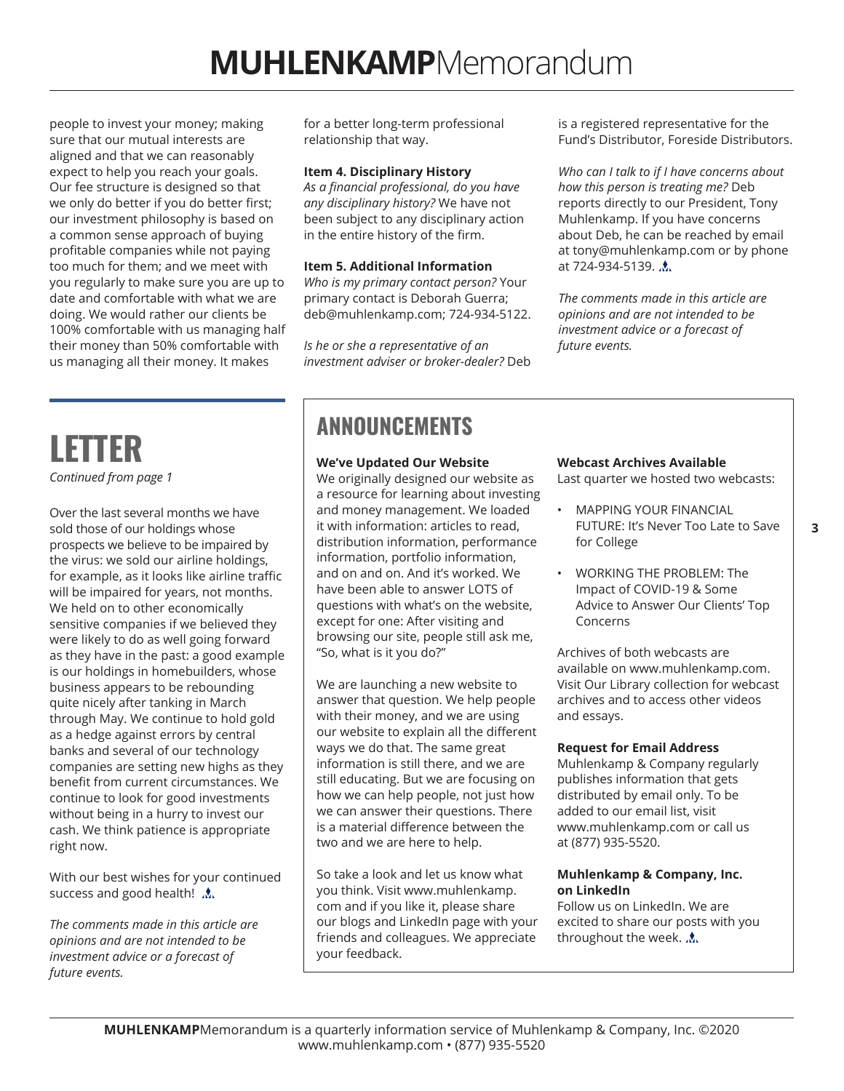people to invest your money; making sure that our mutual interests are aligned and that we can reasonably expect to help you reach your goals. Our fee structure is designed so that we only do better if you do better first; our investment philosophy is based on a common sense approach of buying profitable companies while not paying too much for them; and we meet with you regularly to make sure you are up to date and comfortable with what we are doing. We would rather our clients be 100% comfortable with us managing half their money than 50% comfortable with us managing all their money. It makes

for a better long-term professional relationship that way.

#### **Item 4. Disciplinary History**

*As a financial professional, do you have any disciplinary history?* We have not been subject to any disciplinary action in the entire history of the firm.

#### **Item 5. Additional Information**

*Who is my primary contact person?* Your primary contact is Deborah Guerra; deb@muhlenkamp.com; 724-934-5122.

*Is he or she a representative of an investment adviser or broker-dealer?* Deb is a registered representative for the Fund's Distributor, Foreside Distributors.

*Who can I talk to if I have concerns about how this person is treating me?* Deb reports directly to our President, Tony Muhlenkamp. If you have concerns about Deb, he can be reached by email at tony@muhlenkamp.com or by phone at 724-934-5139. ...

*The comments made in this article are opinions and are not intended to be investment advice or a forecast of future events.*

## **LETTER** *Continued from page 1*

Over the last several months we have sold those of our holdings whose prospects we believe to be impaired by the virus: we sold our airline holdings, for example, as it looks like airline traffic will be impaired for years, not months. We held on to other economically sensitive companies if we believed they were likely to do as well going forward as they have in the past: a good example is our holdings in homebuilders, whose business appears to be rebounding quite nicely after tanking in March through May. We continue to hold gold as a hedge against errors by central banks and several of our technology companies are setting new highs as they benefit from current circumstances. We continue to look for good investments without being in a hurry to invest our cash. We think patience is appropriate right now.

With our best wishes for your continued success and good health!  $\Lambda$ .

*The comments made in this article are opinions and are not intended to be investment advice or a forecast of future events.* 

## **ANNOUNCEMENTS**

#### **We've Updated Our Website**

We originally designed our website as a resource for learning about investing and money management. We loaded it with information: articles to read, distribution information, performance information, portfolio information, and on and on. And it's worked. We have been able to answer LOTS of questions with what's on the website, except for one: After visiting and browsing our site, people still ask me, "So, what is it you do?"

We are launching a new website to answer that question. We help people with their money, and we are using our website to explain all the different ways we do that. The same great information is still there, and we are still educating. But we are focusing on how we can help people, not just how we can answer their questions. There is a material difference between the two and we are here to help.

So take a look and let us know what you think. Visit www.muhlenkamp. com and if you like it, please share our blogs and LinkedIn page with your friends and colleagues. We appreciate your feedback.

#### **Webcast Archives Available**

Last quarter we hosted two webcasts:

- MAPPING YOUR FINANCIAL FUTURE: It's Never Too Late to Save for College
- WORKING THE PROBLEM: The Impact of COVID-19 & Some Advice to Answer Our Clients' Top Concerns

Archives of both webcasts are available on www.muhlenkamp.com. Visit Our Library collection for webcast archives and to access other videos and essays.

#### **Request for Email Address**

Muhlenkamp & Company regularly publishes information that gets distributed by email only. To be added to our email list, visit www.muhlenkamp.com or call us at (877) 935-5520.

#### **Muhlenkamp & Company, Inc. on LinkedIn**

Follow us on LinkedIn. We are excited to share our posts with you throughout the week.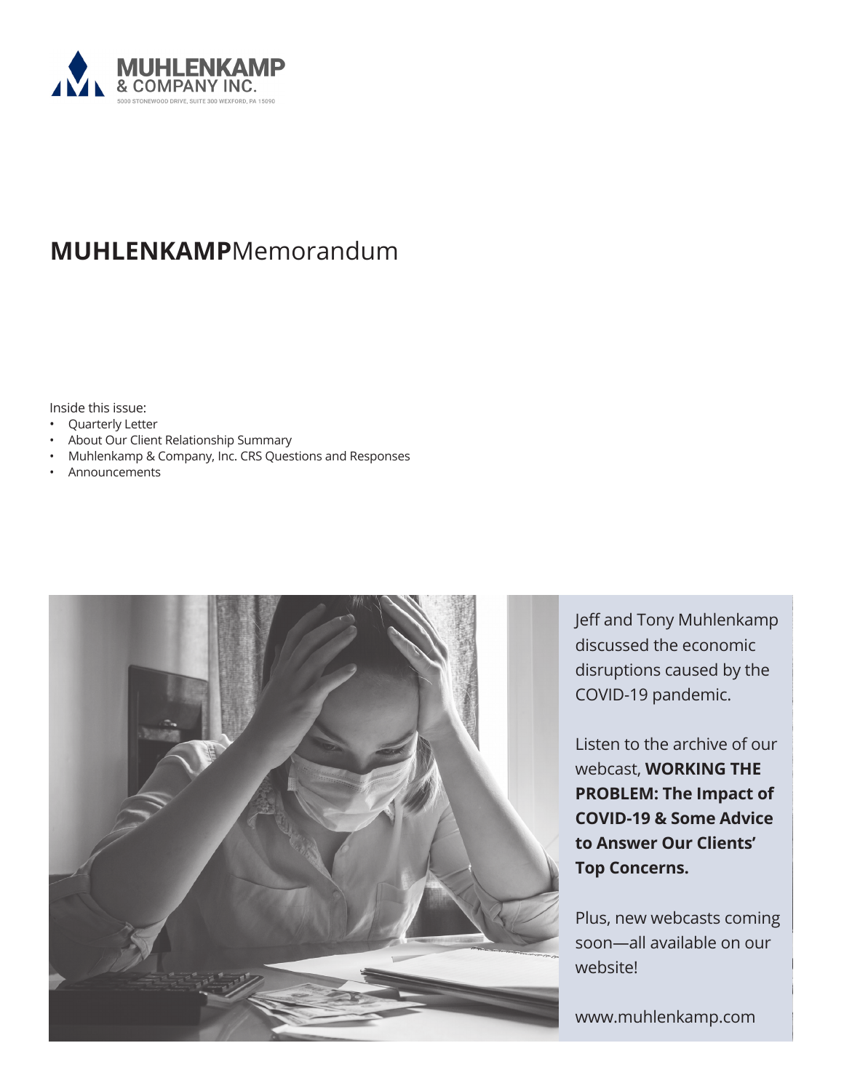

## **MUHLENKAMP**Memorandum

Inside this issue:

#### • Quarterly Letter

- About Our Client Relationship Summary
- Muhlenkamp & Company, Inc. CRS Questions and Responses
- Announcements



Jeff and Tony Muhlenkamp discussed the economic disruptions caused by the COVID-19 pandemic.

Listen to the archive of our webcast, **WORKING THE PROBLEM: The Impact of COVID-19 & Some Advice to Answer Our Clients' Top Concerns.** 

Plus, new webcasts coming soon—all available on our website!

www.muhlenkamp.com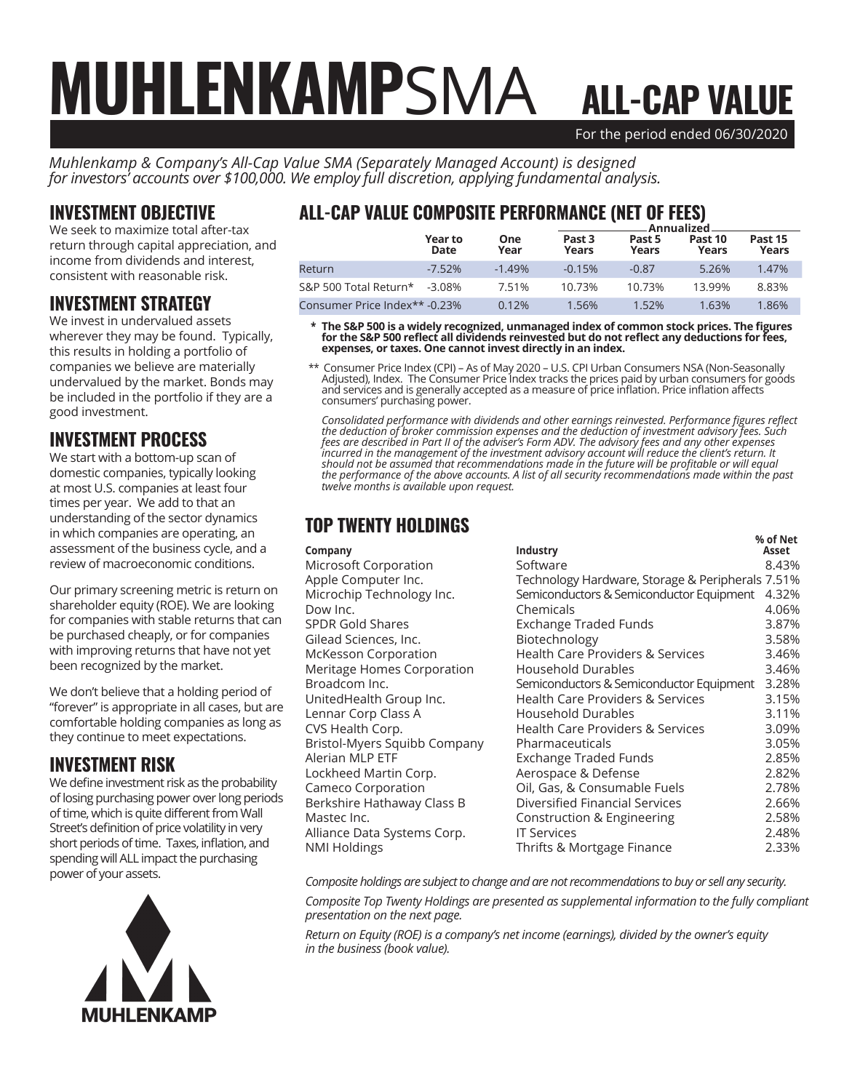## For the period ended 06/30/2020 ALL-CAP VALUE MUHLENKAMPSMA

*Muhlenkamp & Company's All-Cap Value SMA (Separately Managed Account) is designed for investors' accounts over \$100,000. We employ full discretion, applying fundamental analysis.*

## INVESTMENT OBJECTIVE

We seek to maximize total after-tax return through capital appreciation, and income from dividends and interest, consistent with reasonable risk.

## INVESTMENT STRATEGY

We invest in undervalued assets wherever they may be found. Typically, this results in holding a portfolio of companies we believe are materially undervalued by the market. Bonds may be included in the portfolio if they are a good investment.

## INVESTMENT PROCESS

We start with a bottom-up scan of domestic companies, typically looking at most U.S. companies at least four times per year. We add to that an understanding of the sector dynamics in which companies are operating, an assessment of the business cycle, and a review of macroeconomic conditions.

Our primary screening metric is return on shareholder equity (ROE). We are looking for companies with stable returns that can be purchased cheaply, or for companies with improving returns that have not yet been recognized by the market.

We don't believe that a holding period of "forever" is appropriate in all cases, but are comfortable holding companies as long as they continue to meet expectations.

## INVESTMENT RISK

We define investment risk as the probability of losing purchasing power over long periods of time, which is quite different from Wall Street's definition of price volatility in very short periods of time. Taxes, inflation, and spending will ALL impact the purchasing power of your assets.



## ALL-CAP VALUE COMPOSITE PERFORMANCE (NET OF FEES)

|                               |                 |             | Annualized.     |                 |                  |                  |  |
|-------------------------------|-----------------|-------------|-----------------|-----------------|------------------|------------------|--|
|                               | Year to<br>Date | One<br>Year | Past 3<br>Years | Past 5<br>Years | Past 10<br>Years | Past 15<br>Years |  |
| Return                        | $-7.52%$        | $-1.49%$    | $-0.15%$        | $-0.87$         | 5.26%            | 1.47%            |  |
| S&P 500 Total Return*         | $-3.08\%$       | 7.51%       | 10.73%          | 10.73%          | 13.99%           | 8.83%            |  |
| Consumer Price Index** -0.23% |                 | 0.12%       | 1.56%           | 1.52%           | 1.63%            | 1.86%            |  |

 **\* The S&P 500 is a widely recognized, unmanaged index of common stock prices. The figures for the S&P 500 reflect all dividends reinvested but do not reflect any deductions for fees, expenses, or taxes. One cannot invest directly in an index.**

 \*\* Consumer Price Index (CPI) – As of May 2020 – U.S. CPI Urban Consumers NSA (Non-Seasonally Adjusted), Index. The Consumer Price Index tracks the prices paid by urban consumers for goods and services and is generally accepted as a measure of price inflation. Price inflation affects consumers' purchasing power.

*Consolidated performance with dividends and other earnings reinvested. Performance figures reflect the deduction of broker commission expenses and the deduction of investment advisory fees. Such fees are described in Part II of the adviser's Form ADV. The advisory fees and any other expenses incurred in the management of the investment advisory account will reduce the client's return. It should not be assumed that recommendations made in the future will be profitable or will equal the performance of the above accounts. A list of all security recommendations made within the past twelve months is available upon request.*

## TOP TWENTY HOLDINGS

|                              |                                                  | % of Net |
|------------------------------|--------------------------------------------------|----------|
| Company                      | Industry                                         | Asset    |
| Microsoft Corporation        | Software                                         | 8.43%    |
| Apple Computer Inc.          | Technology Hardware, Storage & Peripherals 7.51% |          |
| Microchip Technology Inc.    | Semiconductors & Semiconductor Equipment         | 4.32%    |
| Dow Inc.                     | Chemicals                                        | 4.06%    |
| <b>SPDR Gold Shares</b>      | Exchange Traded Funds                            | 3.87%    |
| Gilead Sciences, Inc.        | Biotechnology                                    | 3.58%    |
| McKesson Corporation         | Health Care Providers & Services                 | 3.46%    |
| Meritage Homes Corporation   | <b>Household Durables</b>                        | 3.46%    |
| Broadcom Inc.                | Semiconductors & Semiconductor Equipment         | 3.28%    |
| UnitedHealth Group Inc.      | <b>Health Care Providers &amp; Services</b>      | 3.15%    |
| Lennar Corp Class A          | Household Durables                               | 3.11%    |
| CVS Health Corp.             | Health Care Providers & Services                 | 3.09%    |
| Bristol-Myers Squibb Company | Pharmaceuticals                                  | 3.05%    |
| Alerian MLP ETF              | <b>Exchange Traded Funds</b>                     | 2.85%    |
| Lockheed Martin Corp.        | Aerospace & Defense                              | 2.82%    |
| Cameco Corporation           | Oil, Gas, & Consumable Fuels                     | 2.78%    |
| Berkshire Hathaway Class B   | Diversified Financial Services                   | 2.66%    |
| Mastec Inc.                  | Construction & Engineering                       | 2.58%    |
| Alliance Data Systems Corp.  | <b>IT Services</b>                               | 2.48%    |
| NMI Holdings                 | Thrifts & Mortgage Finance                       | 2.33%    |
|                              |                                                  |          |

*Composite holdings are subject to change and are not recommendations to buy or sell any security.*

*Composite Top Twenty Holdings are presented as supplemental information to the fully compliant presentation on the next page.*

*Return on Equity (ROE) is a company's net income (earnings), divided by the owner's equity in the business (book value).*